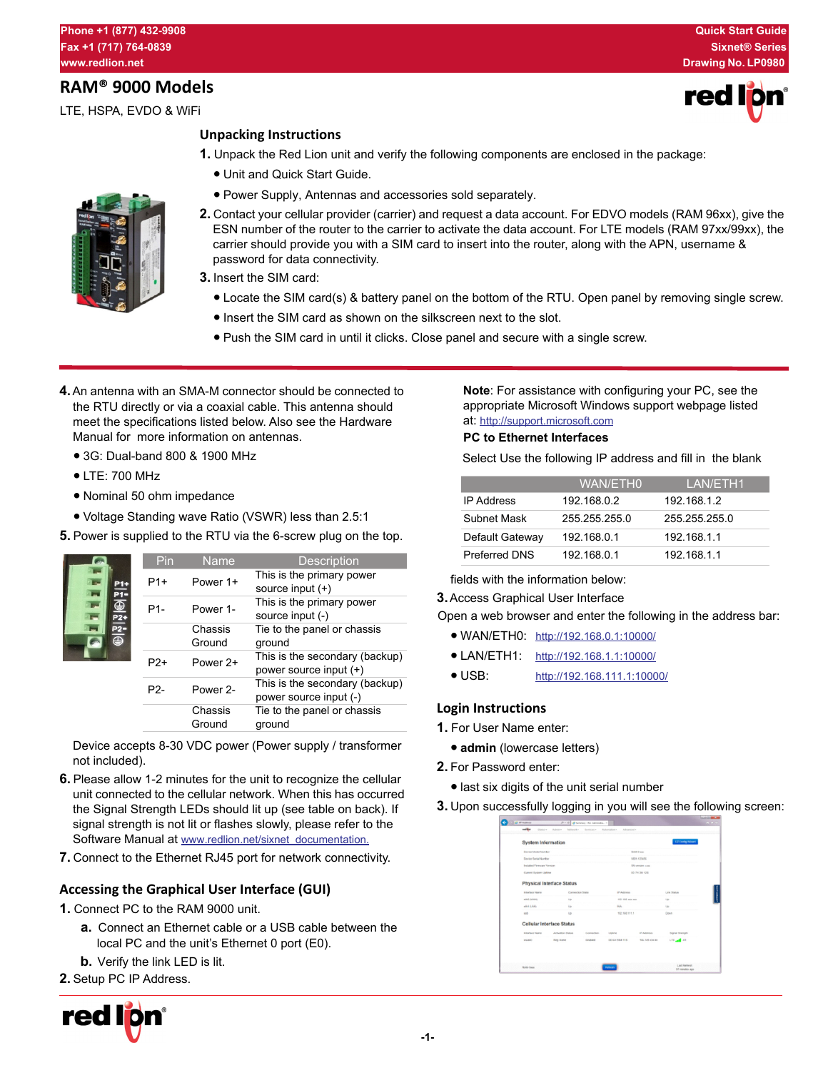# **RAM® 9000 Models**

LTE, HSPA, EVDO & WiFi

## **Unpacking Instructions**

- **1.** Unpack the Red Lion unit and verify the following components are enclosed in the package:
	- **•** Unit and Quick Start Guide.
	- **•**Power Supply, Antennas and accessories sold separately.
- **2.** Contact your cellular provider (carrier) and request a data account. For EDVO models (RAM 96xx), give the ESN number of the router to the carrier to activate the data account. For LTE models (RAM 97xx/99xx), the carrier should provide you with a SIM card to insert into the router, along with the APN, username & password for data connectivity.
- **3.** Insert the SIM card:
	- **•**Locate the SIM card(s) & battery panel on the bottom of the RTU. Open panel by removing single screw.
	- **•**Insert the SIM card as shown on the silkscreen next to the slot.
	- **•**Push the SIM card in until it clicks. Close panel and secure with a single screw.
- **4.**An antenna with an SMA-M connector should be connected to the RTU directly or via a coaxial cable. This antenna should meet the specifications listed below. Also see the Hardware Manual for more information on antennas.
	- **•**3G: Dual-band 800 & 1900 MHz
	- **•**LTE: 700 MHz
	- **•** Nominal 50 ohm impedance
	- **•**Voltage Standing wave Ratio (VSWR) less than 2.5:1
- **5.** Power is supplied to the RTU via the 6-screw plug on the top.

| P1+<br><b>P1-</b><br>⊕<br>$P2+$<br>⊕ | Pin              | <b>Name</b>       | <b>Description</b>                                       |
|--------------------------------------|------------------|-------------------|----------------------------------------------------------|
|                                      | $P1+$            | Power 1+          | This is the primary power<br>source input $(+)$          |
|                                      | P1-              | Power 1-          | This is the primary power<br>source input (-)            |
|                                      |                  | Chassis<br>Ground | Tie to the panel or chassis<br>ground                    |
|                                      | $P2+$            | Power 2+          | This is the secondary (backup)<br>power source input (+) |
|                                      | P <sub>2</sub> - | Power 2-          | This is the secondary (backup)<br>power source input (-) |
|                                      |                  | Chassis<br>Ground | Tie to the panel or chassis<br>ground                    |

Device accepts 8-30 VDC power (Power supply / transformer not included).

- **6.** Please allow 1-2 minutes for the unit to recognize the cellular unit connected to the cellular network. When this has occurred the Signal Strength LEDs should lit up (see table on back). If signal strength is not lit or flashes slowly, please refer to the Software Manual at [www.redlion.net/sixnet\\_documentation.](http://www.redlion.net/sixnet_documentation)
- **7.** Connect to the Ethernet RJ45 port for network connectivity.

# **Accessing the Graphical User Interface (GUI)**

- **1.** Connect PC to the RAM 9000 unit.
	- **a.** Connect an Ethernet cable or a USB cable between the local PC and the unit's Ethernet 0 port (E0).
	- **b.** Verify the link LED is lit.

**2.** Setup PC IP Address.



**Note**: For assistance with configuring your PC, see the appropriate Microsoft Windows support webpage listed at:<http://support.microsoft.com>

### **PC to Ethernet Interfaces**

Select Use the following IP address and fill in the blank

|                      | WAN/ETH0      | LAN/ETH1      |
|----------------------|---------------|---------------|
| <b>IP Address</b>    | 192.168.0.2   | 192.168.1.2   |
| Subnet Mask          | 255.255.255.0 | 255 255 255 0 |
| Default Gateway      | 192.168.0.1   | 192.168.1.1   |
| <b>Preferred DNS</b> | 192.168.0.1   | 192.168.1.1   |

fields with the information below:

**3.**Access Graphical User Interface

Open a web browser and enter the following in the address bar:

- **•** WAN/ETH0: <http://192.168.0.1:10000/>
- **•**LAN/ETH1: <http://192.168.1.1:10000/>
- **•** USB: <http://192.168.111.1:10000/>

## **Login Instructions**

- **1.** For User Name enter:
	- **•admin** (lowercase letters)
- **2.** For Password enter:
	- **•**last six digits of the unit serial number
- **3.** Upon successfully logging in you will see the following screen:

| <b>System Information</b>     |                                  |             |                       |                   | EZ Corty Warel        |
|-------------------------------|----------------------------------|-------------|-----------------------|-------------------|-----------------------|
| <b>Cension Modes Northern</b> |                                  |             | <b>GALL-Vans</b>      |                   |                       |
| Device Serial Number          |                                  |             | <b>9804-123456</b>    |                   |                       |
| Installed Pirmuran Version    |                                  |             | SN version x xx       |                   |                       |
| Current System Upfirea        |                                  |             | 00 7H 3M 12G          |                   |                       |
|                               | <b>Physical Interface Status</b> |             |                       |                   |                       |
| Interface Name                | Connection State                 |             | IP Antique            |                   | Link Status           |
| <b>HEIG GAVANE</b>            | <b>Up</b>                        |             | 192 164 am on         |                   | $\cup$                |
| ellet & ANG                   | <b>Up</b>                        |             | <b>NA</b>             |                   | Up                    |
| <b>LAT</b>                    | $\cup$                           |             | 192.164.111.1         |                   | Doug                  |
|                               | <b>Cellular Interface Status</b> |             |                       |                   |                       |
| <b>Interface Name</b>         | Activation Status                | Connection. | Listene               | <b>IP Address</b> | Signal Strength       |
| <b>MARKO</b>                  | Reg Home                         | Emabled     | <b>OD 6H DIRA 115</b> | 900, 14th xxx.wx  | LTD <sub>art</sub> 41 |
|                               |                                  |             |                       |                   |                       |
|                               |                                  |             |                       |                   | Last Referent         |



re